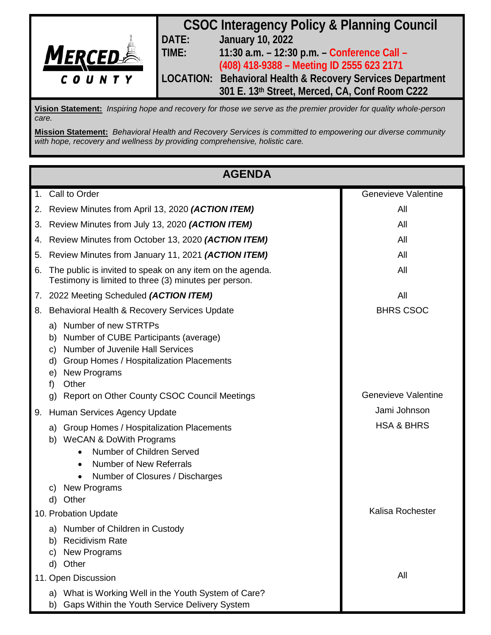

**Vision Statement:** *Inspiring hope and recovery for those we serve as the premier provider for quality whole-person care.*

**Mission Statement:** *Behavioral Health and Recovery Services is committed to empowering our diverse community with hope, recovery and wellness by providing comprehensive, holistic care.*

| <b>AGENDA</b> |                                                                                                                                                                                                                                         |                            |
|---------------|-----------------------------------------------------------------------------------------------------------------------------------------------------------------------------------------------------------------------------------------|----------------------------|
|               | 1. Call to Order                                                                                                                                                                                                                        | <b>Genevieve Valentine</b> |
| 2.            | Review Minutes from April 13, 2020 (ACTION ITEM)                                                                                                                                                                                        | All                        |
| 3.            | Review Minutes from July 13, 2020 (ACTION ITEM)                                                                                                                                                                                         | All                        |
| 4.            | Review Minutes from October 13, 2020 (ACTION ITEM)                                                                                                                                                                                      | All                        |
| 5.            | Review Minutes from January 11, 2021 (ACTION ITEM)                                                                                                                                                                                      | All                        |
| 6.            | The public is invited to speak on any item on the agenda.<br>Testimony is limited to three (3) minutes per person.                                                                                                                      | All                        |
|               | 7. 2022 Meeting Scheduled (ACTION ITEM)                                                                                                                                                                                                 | All                        |
| 8.            | Behavioral Health & Recovery Services Update                                                                                                                                                                                            | <b>BHRS CSOC</b>           |
|               | a) Number of new STRTPs<br>Number of CUBE Participants (average)<br>b)<br>Number of Juvenile Hall Services<br>C)<br>Group Homes / Hospitalization Placements<br>d)<br><b>New Programs</b><br>e)<br>Other<br>f)                          |                            |
|               | Report on Other County CSOC Council Meetings<br>$\mathsf{q}$                                                                                                                                                                            | <b>Genevieve Valentine</b> |
| 9.            | Human Services Agency Update                                                                                                                                                                                                            | Jami Johnson               |
|               | <b>Group Homes / Hospitalization Placements</b><br>a)<br>b) WeCAN & DoWith Programs<br>Number of Children Served<br>Number of New Referrals<br>$\bullet$<br>Number of Closures / Discharges<br><b>New Programs</b><br>C)<br>Other<br>d) | <b>HSA &amp; BHRS</b>      |
|               | 10. Probation Update                                                                                                                                                                                                                    | Kalisa Rochester           |
|               | Number of Children in Custody<br>a)<br><b>Recidivism Rate</b><br>b)<br><b>New Programs</b><br>C)<br>Other<br>d)                                                                                                                         |                            |
|               | 11. Open Discussion                                                                                                                                                                                                                     | All                        |
|               | a) What is Working Well in the Youth System of Care?<br>Gaps Within the Youth Service Delivery System<br>b)                                                                                                                             |                            |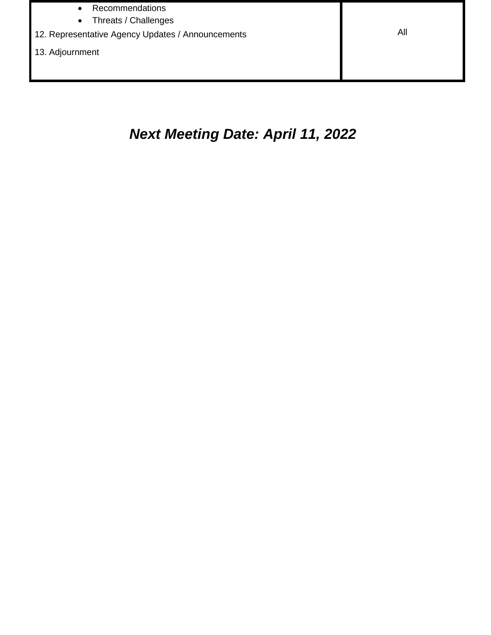- Recommendations
- Threats / Challenges
- 12. Representative Agency Updates / Announcements **All All All All**
- 13. Adjournment

# *Next Meeting Date: April 11, 2022*